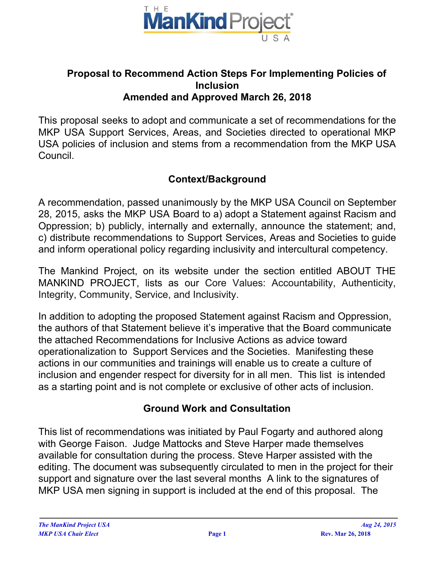

### **Proposal to Recommend Action Steps For Implementing Policies of Inclusion Amended and Approved March 26, 2018**

This proposal seeks to adopt and communicate a set of recommendations for the MKP USA Support Services, Areas, and Societies directed to operational MKP USA policies of inclusion and stems from a recommendation from the MKP USA Council.

## **Context/Background**

A recommendation, passed unanimously by the MKP USA Council on September 28, 2015, asks the MKP USA Board to a) adopt a Statement against Racism and Oppression; b) publicly, internally and externally, announce the statement; and, c) distribute recommendations to Support Services, Areas and Societies to guide and inform operational policy regarding inclusivity and intercultural competency.

The Mankind Project, on its website under the section entitled ABOUT THE MANKIND PROJECT, lists as our Core Values: Accountability, Authenticity, Integrity, Community, Service, and Inclusivity.

In addition to adopting the proposed Statement against Racism and Oppression, the authors of that Statement believe it's imperative that the Board communicate the attached Recommendations for Inclusive Actions as advice toward operationalization to Support Services and the Societies. Manifesting these actions in our communities and trainings will enable us to create a culture of inclusion and engender respect for diversity for in all men. This list is intended as a starting point and is not complete or exclusive of other acts of inclusion.

### **Ground Work and Consultation**

This list of recommendations was initiated by Paul Fogarty and authored along with George Faison. Judge Mattocks and Steve Harper made themselves available for consultation during the process. Steve Harper assisted with the editing. The document was subsequently circulated to men in the project for their support and signature over the last several months A link to the signatures of MKP USA men signing in support is included at the end of this proposal. The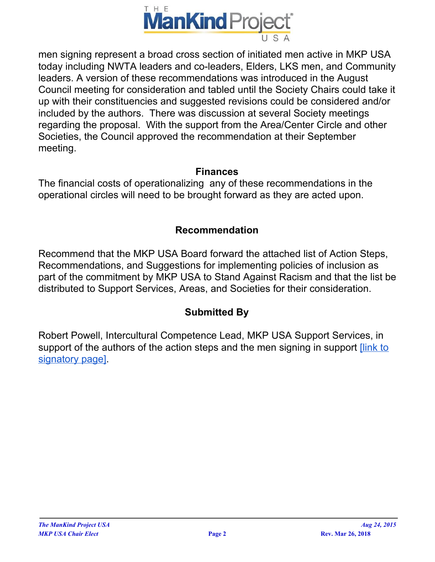

men signing represent a broad cross section of initiated men active in MKP USA today including NWTA leaders and co-leaders, Elders, LKS men, and Community leaders. A version of these recommendations was introduced in the August Council meeting for consideration and tabled until the Society Chairs could take it up with their constituencies and suggested revisions could be considered and/or included by the authors. There was discussion at several Society meetings regarding the proposal. With the support from the Area/Center Circle and other Societies, the Council approved the recommendation at their September meeting.

#### **Finances**

The financial costs of operationalizing any of these recommendations in the operational circles will need to be brought forward as they are acted upon.

## **Recommendation**

Recommend that the MKP USA Board forward the attached list of Action Steps, Recommendations, and Suggestions for implementing policies of inclusion as part of the commitment by MKP USA to Stand Against Racism and that the list be distributed to Support Services, Areas, and Societies for their consideration.

# **Submitted By**

Robert Powell, Intercultural Competence Lead, MKP USA Support Services, in support of the authors of the action steps and the men signing in support *flink to* [signatory](https://docs.google.com/document/d/11SwZIiqc9GmqnXJP1jEQ9b1VXbQNfqpBvnfcpiUYeOI/edit) page].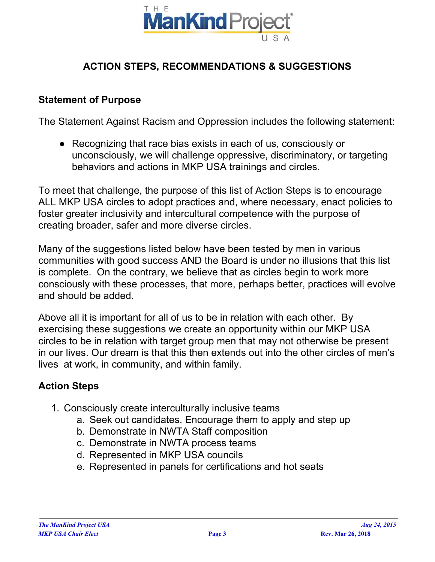

# **ACTION STEPS, RECOMMENDATIONS & SUGGESTIONS**

#### **Statement of Purpose**

The Statement Against Racism and Oppression includes the following statement:

● Recognizing that race bias exists in each of us, consciously or unconsciously, we will challenge oppressive, discriminatory, or targeting behaviors and actions in MKP USA trainings and circles.

To meet that challenge, the purpose of this list of Action Steps is to encourage ALL MKP USA circles to adopt practices and, where necessary, enact policies to foster greater inclusivity and intercultural competence with the purpose of creating broader, safer and more diverse circles.

Many of the suggestions listed below have been tested by men in various communities with good success AND the Board is under no illusions that this list is complete. On the contrary, we believe that as circles begin to work more consciously with these processes, that more, perhaps better, practices will evolve and should be added.

Above all it is important for all of us to be in relation with each other. By exercising these suggestions we create an opportunity within our MKP USA circles to be in relation with target group men that may not otherwise be present in our lives. Our dream is that this then extends out into the other circles of men's lives at work, in community, and within family.

### **Action Steps**

- 1. Consciously create interculturally inclusive teams
	- a. Seek out candidates. Encourage them to apply and step up
	- b. Demonstrate in NWTA Staff composition
	- c. Demonstrate in NWTA process teams
	- d. Represented in MKP USA councils
	- e. Represented in panels for certifications and hot seats